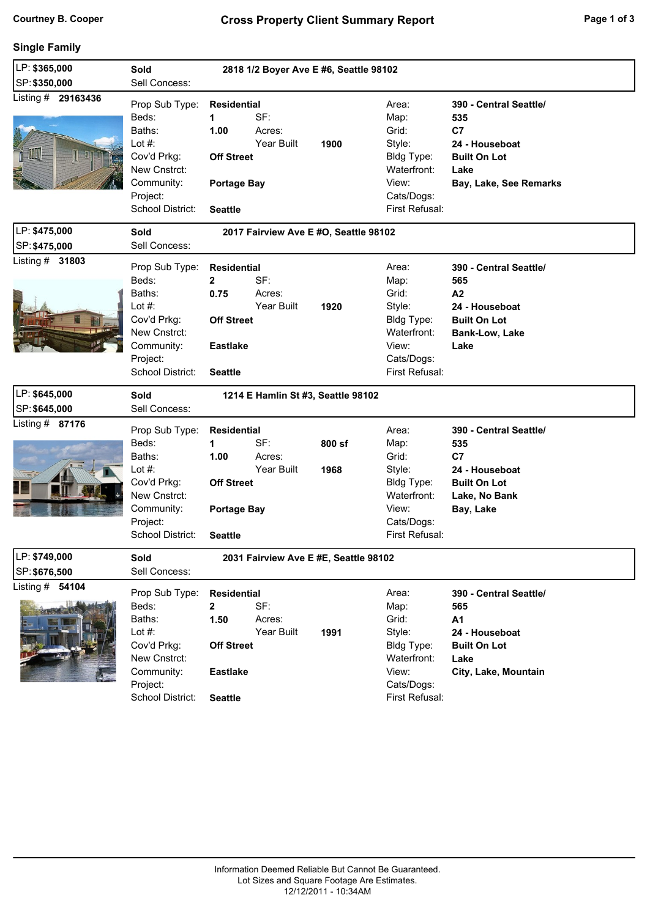## **Single Family**

| LP: \$365,000           | Sold<br>2818 1/2 Boyer Ave E #6, Seattle 98102                                                                              |                                                                                                      |                             |                                       |                                                                                                        |                                                                                                                        |  |  |
|-------------------------|-----------------------------------------------------------------------------------------------------------------------------|------------------------------------------------------------------------------------------------------|-----------------------------|---------------------------------------|--------------------------------------------------------------------------------------------------------|------------------------------------------------------------------------------------------------------------------------|--|--|
| SP: \$350,000           | Sell Concess:                                                                                                               |                                                                                                      |                             |                                       |                                                                                                        |                                                                                                                        |  |  |
| Listing # 29163436<br>H | Prop Sub Type:<br>Beds:<br>Baths:<br>Lot #:<br>Cov'd Prkg:<br>New Cnstrct:<br>Community:<br>Project:<br>School District:    | Residential<br>$\mathbf 1$<br>1.00<br><b>Off Street</b><br><b>Portage Bay</b><br><b>Seattle</b>      | SF:<br>Acres:<br>Year Built | 1900                                  | Area:<br>Map:<br>Grid:<br>Style:<br>Bldg Type:<br>Waterfront:<br>View:<br>Cats/Dogs:<br>First Refusal: | 390 - Central Seattle/<br>535<br>C7<br>24 - Houseboat<br><b>Built On Lot</b><br>Lake<br>Bay, Lake, See Remarks         |  |  |
| LP: \$475,000           | <b>Sold</b>                                                                                                                 | 2017 Fairview Ave E #O, Seattle 98102                                                                |                             |                                       |                                                                                                        |                                                                                                                        |  |  |
| SP: \$475,000           | Sell Concess:                                                                                                               |                                                                                                      |                             |                                       |                                                                                                        |                                                                                                                        |  |  |
| Listing $#$ 31803       | Prop Sub Type:<br>Beds:<br>Baths:<br>Lot $#$ :<br>Cov'd Prkg:<br>New Cnstrct:<br>Community:<br>Project:<br>School District: | <b>Residential</b><br>$\mathbf{2}$<br>0.75<br><b>Off Street</b><br><b>Eastlake</b><br><b>Seattle</b> | SF:<br>Acres:<br>Year Built | 1920                                  | Area:<br>Map:<br>Grid:<br>Style:<br>Bldg Type:<br>Waterfront:<br>View:<br>Cats/Dogs:<br>First Refusal: | 390 - Central Seattle/<br>565<br>A2<br>24 - Houseboat<br><b>Built On Lot</b><br>Bank-Low, Lake<br>Lake                 |  |  |
|                         |                                                                                                                             |                                                                                                      |                             |                                       |                                                                                                        |                                                                                                                        |  |  |
| LP: \$645,000           | <b>Sold</b>                                                                                                                 |                                                                                                      |                             | 1214 E Hamlin St #3, Seattle 98102    |                                                                                                        |                                                                                                                        |  |  |
| SP: \$645,000           | Sell Concess:                                                                                                               |                                                                                                      |                             |                                       |                                                                                                        |                                                                                                                        |  |  |
| Listing # 87176         | Prop Sub Type:<br>Beds:<br>Baths:<br>Lot $#$ :<br>Cov'd Prkg:<br>New Cnstrct:<br>Community:<br>Project:<br>School District: | <b>Residential</b><br>1<br>1.00<br><b>Off Street</b><br><b>Portage Bay</b><br><b>Seattle</b>         | SF:<br>Acres:<br>Year Built | 800 sf<br>1968                        | Area:<br>Map:<br>Grid:<br>Style:<br>Bldg Type:<br>Waterfront:<br>View:<br>Cats/Dogs:<br>First Refusal: | 390 - Central Seattle/<br>535<br>C <sub>7</sub><br>24 - Houseboat<br><b>Built On Lot</b><br>Lake, No Bank<br>Bay, Lake |  |  |
| LP: \$749,000           | Sold                                                                                                                        |                                                                                                      |                             | 2031 Fairview Ave E #E, Seattle 98102 |                                                                                                        |                                                                                                                        |  |  |
| SP: \$676,500           | Sell Concess:                                                                                                               |                                                                                                      |                             |                                       |                                                                                                        |                                                                                                                        |  |  |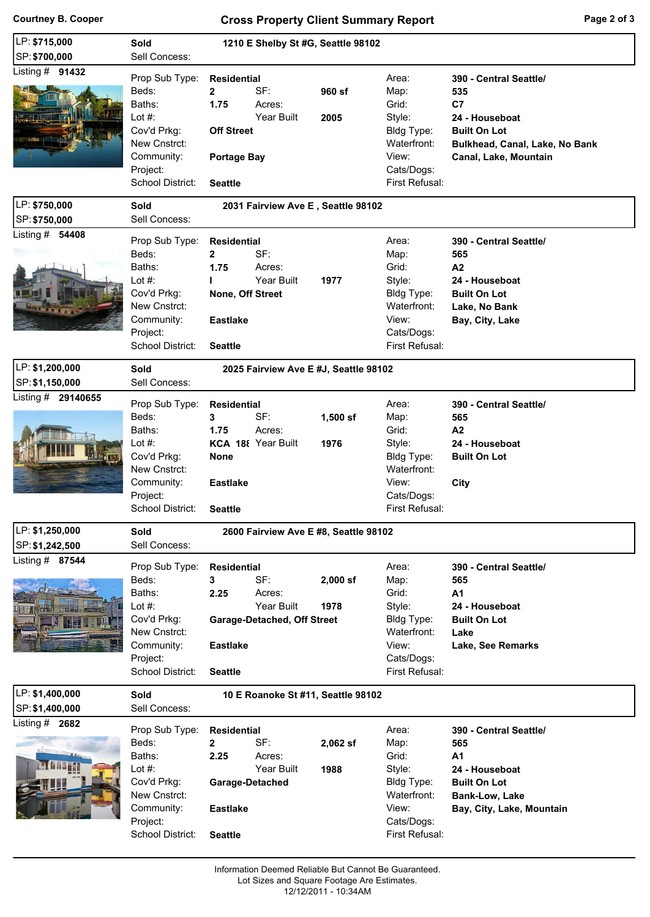# **Courtney B. Cooper Cross Property Client Summary Report Page 2 of 3**

| LP: \$715,000                      | Sold                                                                                                                        | 1210 E Shelby St #G, Seattle 98102                                                                                                      |                    |                                                                                                        |                                                                                                                                         |  |  |
|------------------------------------|-----------------------------------------------------------------------------------------------------------------------------|-----------------------------------------------------------------------------------------------------------------------------------------|--------------------|--------------------------------------------------------------------------------------------------------|-----------------------------------------------------------------------------------------------------------------------------------------|--|--|
| SP: \$700,000                      | Sell Concess:                                                                                                               |                                                                                                                                         |                    |                                                                                                        |                                                                                                                                         |  |  |
| Listing $#$ 91432                  | Prop Sub Type:                                                                                                              | <b>Residential</b>                                                                                                                      |                    |                                                                                                        |                                                                                                                                         |  |  |
|                                    | Beds:<br>Baths:<br>Lot $#$ :<br>Cov'd Prkg:<br>New Cnstrct:<br>Community:<br>Project:<br>School District:                   | $\mathbf{2}$<br>SF:<br>1.75<br>Acres:<br>Year Built<br><b>Off Street</b><br><b>Portage Bay</b><br><b>Seattle</b>                        | 960 sf<br>2005     | Area:<br>Map:<br>Grid:<br>Style:<br>Bldg Type:<br>Waterfront:<br>View:<br>Cats/Dogs:<br>First Refusal: | 390 - Central Seattle/<br>535<br>C7<br>24 - Houseboat<br><b>Built On Lot</b><br>Bulkhead, Canal, Lake, No Bank<br>Canal, Lake, Mountain |  |  |
| LP: \$750,000                      | Sold                                                                                                                        | 2031 Fairview Ave E, Seattle 98102                                                                                                      |                    |                                                                                                        |                                                                                                                                         |  |  |
| SP: \$750,000                      | Sell Concess:                                                                                                               |                                                                                                                                         |                    |                                                                                                        |                                                                                                                                         |  |  |
| Listing $#$ 54408                  | Prop Sub Type:<br>Beds:<br>Baths:<br>Lot #:<br>Cov'd Prkg:<br>New Cnstrct:<br>Community:<br>Project:<br>School District:    | <b>Residential</b><br>SF:<br>$\mathbf{2}$<br>1.75<br>Acres:<br>Year Built<br>ı<br>None, Off Street<br><b>Eastlake</b><br><b>Seattle</b> | 1977               | Area:<br>Map:<br>Grid:<br>Style:<br>Bldg Type:<br>Waterfront:<br>View:<br>Cats/Dogs:<br>First Refusal: | 390 - Central Seattle/<br>565<br>A2<br>24 - Houseboat<br><b>Built On Lot</b><br>Lake, No Bank<br>Bay, City, Lake                        |  |  |
| LP: \$1,200,000                    | Sold                                                                                                                        | 2025 Fairview Ave E #J, Seattle 98102                                                                                                   |                    |                                                                                                        |                                                                                                                                         |  |  |
| SP: \$1,150,000                    | Sell Concess:                                                                                                               |                                                                                                                                         |                    |                                                                                                        |                                                                                                                                         |  |  |
| Listing # 29140655                 | Prop Sub Type:<br>Beds:<br>Baths:<br>Lot $#$ :<br>Cov'd Prkg:<br>New Cnstrct:<br>Community:<br>Project:<br>School District: | <b>Residential</b><br>SF:<br>3<br>1.75<br>Acres:<br>KCA 188 Year Built<br><b>None</b><br><b>Eastlake</b><br><b>Seattle</b>              | $1,500$ sf<br>1976 | Area:<br>Map:<br>Grid:<br>Style:<br>Bldg Type:<br>Waterfront:<br>View:<br>Cats/Dogs:<br>First Refusal: | 390 - Central Seattle/<br>565<br>A <sub>2</sub><br>24 - Houseboat<br><b>Built On Lot</b><br>City                                        |  |  |
| LP: \$1,250,000<br>SP: \$1,242,500 | Sold<br>Sell Concess:                                                                                                       | 2600 Fairview Ave E #8, Seattle 98102                                                                                                   |                    |                                                                                                        |                                                                                                                                         |  |  |
| Listing # 87544                    | Prop Sub Type:<br>Beds:<br>Baths:<br>Lot $#$ :<br>Cov'd Prkg:<br>New Cnstrct:<br>Community:<br>Project:<br>School District: | <b>Residential</b><br>SF:<br>3<br>Acres:<br>2.25<br>Year Built<br>Garage-Detached, Off Street<br><b>Eastlake</b><br><b>Seattle</b>      | $2,000$ sf<br>1978 | Area:<br>Map:<br>Grid:<br>Style:<br>Bldg Type:<br>Waterfront:<br>View:<br>Cats/Dogs:<br>First Refusal: | 390 - Central Seattle/<br>565<br>A <sub>1</sub><br>24 - Houseboat<br><b>Built On Lot</b><br>Lake<br>Lake, See Remarks                   |  |  |
| LP: \$1,400,000<br>SP: \$1,400,000 | <b>Sold</b><br>Sell Concess:                                                                                                | 10 E Roanoke St #11, Seattle 98102                                                                                                      |                    |                                                                                                        |                                                                                                                                         |  |  |
| Listing $#$ 2682                   | Prop Sub Type:<br>Beds:<br>Baths:<br>Lot $#$ :<br>Cov'd Prkg:<br>New Cnstrct:<br>Community:<br>Project:<br>School District: | <b>Residential</b><br>2<br>SF:<br>2.25<br>Acres:<br>Year Built<br>Garage-Detached<br><b>Eastlake</b><br><b>Seattle</b>                  | $2,062$ sf<br>1988 | Area:<br>Map:<br>Grid:<br>Style:<br>Bldg Type:<br>Waterfront:<br>View:<br>Cats/Dogs:<br>First Refusal: | 390 - Central Seattle/<br>565<br>A <sub>1</sub><br>24 - Houseboat<br><b>Built On Lot</b><br>Bank-Low, Lake<br>Bay, City, Lake, Mountain |  |  |